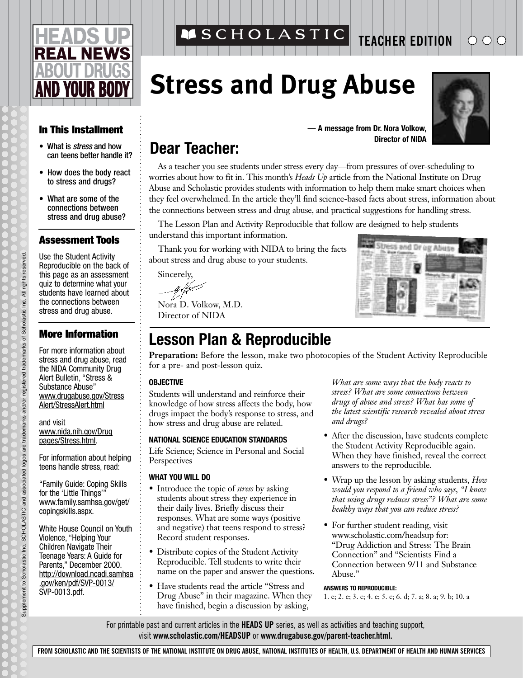# **REAL NEWS D YOUR BO**

## **In This Installment**

- What is *stress* and how can teens better handle it?
- How does the body react to stress and drugs?
- What are some of the connections between stress and drug abuse?

## **Assessment Tools**

Use the Student Activity Reproducible on the back of this page as an assessment quiz to determine what your students have learned about the connections between stress and drug abuse.

## **More Information**

For more information about stress and drug abuse, read the NIDA Community Drug Alert Bulletin, "Stress & Substance Abuse" www.drugabuse.gov/Stress Alert/StressAlert.html

and visit www.nida.nih.gov/Drug pages/Stress.html.

For information about helping teens handle stress, read:

"Family Guide: Coping Skills for the 'Little Things'" www.family.samhsa.gov/get/ copingskills.aspx.

White House Council on Youth Violence, "Helping Your Children Navigate Their Teenage Years: A Guide for Parents," December 2000. http://download.ncadi.samhsa .gov/ken/pdf/SVP-0013/ SVP-0013.pdf.

## ASCHOLASTIC

**TEACHER EDITION**

## **Stress and Drug Abuse**



#### **— A message from Dr. Nora Volkow, Director of NIDA**

## **Dear Teacher:**

As a teacher you see students under stress every day—from pressures of over-scheduling to worries about how to fit in. This month's *Heads Up* article from the National Institute on Drug Abuse and Scholastic provides students with information to help them make smart choices when they feel overwhelmed. In the article they'll find science-based facts about stress, information about the connections between stress and drug abuse, and practical suggestions for handling stress.

The Lesson Plan and Activity Reproducible that follow are designed to help students understand this important information.

Thank you for working with NIDA to bring the facts about stress and drug abuse to your students.

Sincerely,

Nora D. Volkow, M.D. Director of NIDA

## **Lesson Plan & Reproducible**

**Preparation:** Before the lesson, make two photocopies of the Student Activity Reproducible for a pre- and post-lesson quiz.

#### **OBJECTIVE**

Students will understand and reinforce their knowledge of how stress affects the body, how drugs impact the body's response to stress, and how stress and drug abuse are related.

### **NATIONAL SCIENCE EDUCATION STANDARDS**

Life Science; Science in Personal and Social **Perspectives** 

#### **WHAT YOU WILL DO**

- Introduce the topic of *stress* by asking students about stress they experience in their daily lives. Briefly discuss their responses. What are some ways (positive and negative) that teens respond to stress? Record student responses.
- Distribute copies of the Student Activity Reproducible. Tell students to write their name on the paper and answer the questions.
- Have students read the article "Stress and Drug Abuse" in their magazine. When they have finished, begin a discussion by asking,

*What are some ways that the body reacts to stress? What are some connections between drugs of abuse and stress? What has some of the latest scientific research revealed about stress and drugs?*

tress and Dr ug Abuse

- After the discussion, have students complete the Student Activity Reproducible again. When they have finished, reveal the correct answers to the reproducible.
- Wrap up the lesson by asking students, *How would you respond to a friend who says, "I know that using drugs reduces stress"? What are some healthy ways that you can reduce stress?*
- For further student reading, visit www.scholastic.com/headsup for: "Drug Addiction and Stress: The Brain Connection" and "Scientists Find a Connection between 9/11 and Substance Abuse."

#### **ANSWERS TO REPRODUCIBLE:**

1. e; 2. e; 3. c; 4. e; 5. c; 6. d; 7. a; 8. a; 9. b; 10. a

For printable past and current articles in the **HEADS UP** series, as well as activities and teaching support, visit **www.scholastic.com/HEADSUP** or **www.drugabuse.gov/parent-teacher.html.**

**FROM SCHOLASTIC AND THE SCIENTISTS OF THE NATIONAL INSTITUTE ON DRUG ABUSE, NATIONAL INSTITUTES OF HEALTH, U.S. DEPARTMENT OF HEALTH AND HUMAN SERVICES**